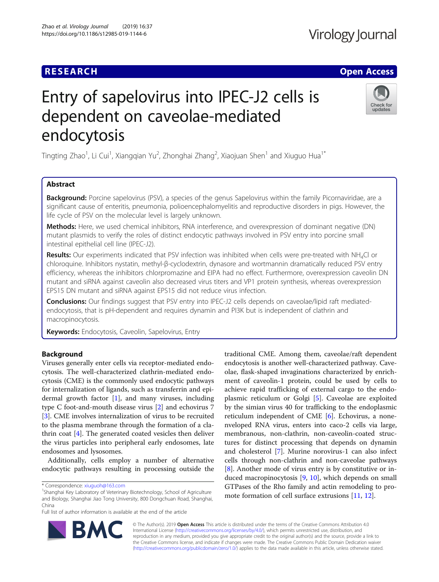# **RESEARCH CHE Open Access**

# Zhao et al. Virology Journal (2019) 16:37 https://doi.org/10.1186/s12985-019-1144-6

# Entry of sapelovirus into IPEC-J2 cells is dependent on caveolae-mediated endocytosis

Tingting Zhao<sup>1</sup>, Li Cui<sup>1</sup>, Xiangqian Yu<sup>2</sup>, Zhonghai Zhang<sup>2</sup>, Xiaojuan Shen<sup>1</sup> and Xiuguo Hua<sup>1\*</sup>

# Abstract

Background: Porcine sapelovirus (PSV), a species of the genus Sapelovirus within the family Picornaviridae, are a significant cause of enteritis, pneumonia, polioencephalomyelitis and reproductive disorders in pigs. However, the life cycle of PSV on the molecular level is largely unknown.

Methods: Here, we used chemical inhibitors, RNA interference, and overexpression of dominant negative (DN) mutant plasmids to verify the roles of distinct endocytic pathways involved in PSV entry into porcine small intestinal epithelial cell line (IPEC-J2).

Results: Our experiments indicated that PSV infection was inhibited when cells were pre-treated with NH<sub>4</sub>Cl or chloroquine. Inhibitors nystatin, methyl-β-cyclodextrin, dynasore and wortmannin dramatically reduced PSV entry efficiency, whereas the inhibitors chlorpromazine and EIPA had no effect. Furthermore, overexpression caveolin DN mutant and siRNA against caveolin also decreased virus titers and VP1 protein synthesis, whereas overexpression EPS15 DN mutant and siRNA against EPS15 did not reduce virus infection.

Conclusions: Our findings suggest that PSV entry into IPEC-J2 cells depends on caveolae/lipid raft mediatedendocytosis, that is pH-dependent and requires dynamin and PI3K but is independent of clathrin and macropinocytosis.

Keywords: Endocytosis, Caveolin, Sapelovirus, Entry

# Background

Viruses generally enter cells via receptor-mediated endocytosis. The well-characterized clathrin-mediated endocytosis (CME) is the commonly used endocytic pathways for internalization of ligands, such as transferrin and epidermal growth factor [\[1](#page-7-0)], and many viruses, including type C foot-and-mouth disease virus [[2\]](#page-7-0) and echovirus 7 [[3\]](#page-7-0). CME involves internalization of virus to be recruited to the plasma membrane through the formation of a clathrin coat [\[4](#page-7-0)]. The generated coated vesicles then deliver the virus particles into peripheral early endosomes, late endosomes and lysosomes.

Additionally, cells employ a number of alternative endocytic pathways resulting in processing outside the

Full list of author information is available at the end of the article

traditional CME. Among them, caveolae/raft dependent endocytosis is another well-characterized pathway. Caveolae, flask-shaped invaginations characterized by enrichment of caveolin-1 protein, could be used by cells to achieve rapid trafficking of external cargo to the endoplasmic reticulum or Golgi [\[5](#page-7-0)]. Caveolae are exploited by the simian virus 40 for trafficking to the endoplasmic reticulum independent of CME [[6\]](#page-7-0). Echovirus, a nonenveloped RNA virus, enters into caco-2 cells via large, membranous, non-clathrin, non-caveolin-coated structures for distinct processing that depends on dynamin and cholesterol [[7\]](#page-7-0). Murine norovirus-1 can also infect cells through non-clathrin and non-caveolae pathways [[8\]](#page-7-0). Another mode of virus entry is by constitutive or induced macropinocytosis [\[9](#page-7-0), [10](#page-7-0)], which depends on small GTPases of the Rho family and actin remodeling to promote formation of cell surface extrusions [[11](#page-7-0), [12](#page-7-0)].



© The Author(s). 2019 Open Access This article is distributed under the terms of the Creative Commons Attribution 4.0 International License [\(http://creativecommons.org/licenses/by/4.0/](http://creativecommons.org/licenses/by/4.0/)), which permits unrestricted use, distribution, and reproduction in any medium, provided you give appropriate credit to the original author(s) and the source, provide a link to the Creative Commons license, and indicate if changes were made. The Creative Commons Public Domain Dedication waiver [\(http://creativecommons.org/publicdomain/zero/1.0/](http://creativecommons.org/publicdomain/zero/1.0/)) applies to the data made available in this article, unless otherwise stated.



<sup>\*</sup> Correspondence: [xiuguoh@163.com](mailto:xiuguoh@163.com) <sup>1</sup>

<sup>&</sup>lt;sup>1</sup>Shanghai Key Laboratory of Veterinary Biotechnology, School of Agriculture and Biology, Shanghai Jiao Tong University, 800 Dongchuan Road, Shanghai, China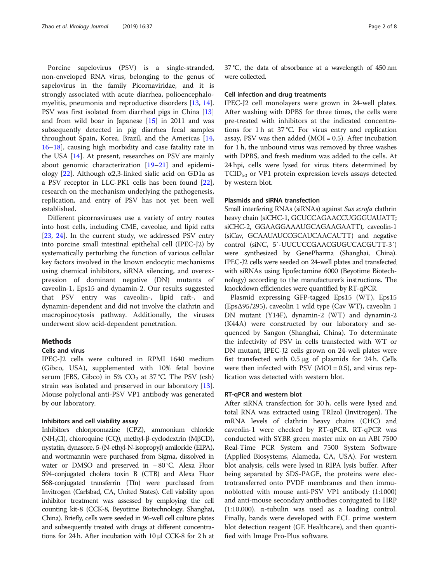Porcine sapelovirus (PSV) is a single-stranded, non-enveloped RNA virus, belonging to the genus of sapelovirus in the family Picornaviridae, and it is strongly associated with acute diarrhea, polioencephalomyelitis, pneumonia and reproductive disorders [\[13](#page-7-0), [14](#page-7-0)]. PSV was first isolated from diarrheal pigs in China [[13](#page-7-0)] and from wild boar in Japanese [\[15\]](#page-7-0) in 2011 and was subsequently detected in pig diarrhea fecal samples throughout Spain, Korea, Brazil, and the Americas [[14](#page-7-0), [16](#page-7-0)–[18](#page-7-0)], causing high morbidity and case fatality rate in the USA [[14\]](#page-7-0). At present, researches on PSV are mainly about genomic characterization  $[19-21]$  $[19-21]$  $[19-21]$  $[19-21]$  $[19-21]$  and epidemiology  $[22]$  $[22]$ . Although α2,3-linked sialic acid on GD1a as a PSV receptor in LLC-PK1 cells has been found [\[22](#page-7-0)], research on the mechanism underlying the pathogenesis, replication, and entry of PSV has not yet been well established.

Different picornaviruses use a variety of entry routes into host cells, including CME, caveolae, and lipid rafts [[23,](#page-7-0) [24\]](#page-7-0). In the current study, we addressed PSV entry into porcine small intestinal epithelial cell (IPEC-J2) by systematically perturbing the function of various cellular key factors involved in the known endocytic mechanisms using chemical inhibitors, siRNA silencing, and overexpression of dominant negative (DN) mutants of caveolin-1, Eps15 and dynamin-2. Our results suggested that PSV entry was caveolin-, lipid raft-, and dynamin-dependent and did not involve the clathrin and macropinocytosis pathway. Additionally, the viruses underwent slow acid-dependent penetration.

# Methods

# Cells and virus

IPEC-J2 cells were cultured in RPMI 1640 medium (Gibco, USA), supplemented with 10% fetal bovine serum (FBS, Gibco) in 5%  $CO<sub>2</sub>$  at 37 °C. The PSV (csh) strain was isolated and preserved in our laboratory [\[13](#page-7-0)]. Mouse polyclonal anti-PSV VP1 antibody was generated by our laboratory.

# Inhibitors and cell viability assay

Inhibitors chlorpromazine (CPZ), ammonium chloride (NH4Cl), chloroquine (CQ), methyl-β-cyclodextrin (MβCD), nystatin, dynasore, 5-(N-ethyl-N-isopropyl) amiloride (EIPA), and wortmannin were purchased from Sigma, dissolved in water or DMSO and preserved in − 80 °C. Alexa Fluor 594-conjugated cholera toxin B (CTB) and Alexa Fluor 568-conjugated transferrin (Tfn) were purchased from Invitrogen (Carlsbad, CA, United States). Cell viability upon inhibitor treatment was assessed by employing the cell counting kit-8 (CCK-8, Beyotime Biotechnology, Shanghai, China). Briefly, cells were seeded in 96-well cell culture plates and subsequently treated with drugs at different concentrations for 24 h. After incubation with 10 μl CCK-8 for 2 h at 37 °C, the data of absorbance at a wavelength of 450 nm were collected.

#### Cell infection and drug treatments

IPEC-J2 cell monolayers were grown in 24-well plates. After washing with DPBS for three times, the cells were pre-treated with inhibitors at the indicated concentrations for 1 h at 37 °C. For virus entry and replication assay, PSV was then added  $(MOI = 0.5)$ . After incubation for 1 h, the unbound virus was removed by three washes with DPBS, and fresh medium was added to the cells. At 24 hpi, cells were lysed for virus titers determined by  $TCID<sub>50</sub>$  or VP1 protein expression levels assays detected by western blot.

#### Plasmids and siRNA transfection

Small interfering RNAs (siRNAs) against Sus scrofa clathrin heavy chain (siCHC-1, GCUCCAGAACCUGGGUAUATT; siCHC-2, GGAAGGAAAUGCAGAAGAATT), caveolin-1 (siCav, GCAAUAUCCGCAUCAACAUTT) and negative control (siNC, 5′-UUCUCCGAACGUGUCACGUTT-3′) were synthesized by GenePharma (Shanghai, China). IPEC-J2 cells were seeded on 24-well plates and transfected with siRNAs using lipofectamine 6000 (Beyotime Biotechnology) according to the manufacturer's instructions. The knockdown efficiencies were quantified by RT-qPCR.

Plasmid expressing GFP-tagged Eps15 (WT), Eps15 (EpsΔ95/295), caveolin 1 wild type (Cav WT), caveolin 1 DN mutant (Y14F), dynamin-2 (WT) and dynamin-2 (K44A) were constructed by our laboratory and sequenced by Sangon (Shanghai, China). To determinate the infectivity of PSV in cells transfected with WT or DN mutant, IPEC-J2 cells grown on 24-well plates were fist transfected with 0.5 μg of plasmids for 24 h. Cells were then infected with PSV ( $MOI = 0.5$ ), and virus replication was detected with western blot.

#### RT-qPCR and western blot

After siRNA transfection for 30 h, cells were lysed and total RNA was extracted using TRIzol (Invitrogen). The mRNA levels of clathrin heavy chains (CHC) and caveolin-1 were checked by RT-qPCR. RT-qPCR was conducted with SYBR green master mix on an ABI 7500 Real-Time PCR System and 7500 System Software (Applied Biosystems, Alameda, CA, USA). For western blot analysis, cells were lysed in RIPA lysis buffer. After being separated by SDS-PAGE, the proteins were electrotransferred onto PVDF membranes and then immunoblotted with mouse anti-PSV VP1 antibody (1:1000) and anti-mouse secondary antibodies conjugated to HRP (1:10,000).  $\alpha$ -tubulin was used as a loading control. Finally, bands were developed with ECL prime western blot detection reagent (GE Healthcare), and then quantified with Image Pro-Plus software.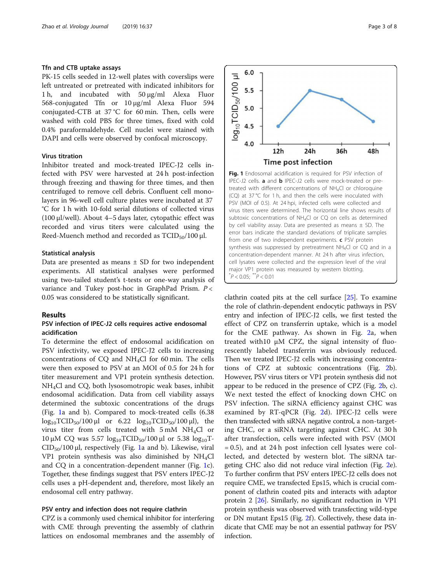#### Tfn and CTB uptake assays

PK-15 cells seeded in 12-well plates with coverslips were left untreated or pretreated with indicated inhibitors for 1 h, and incubated with 50 μg/ml Alexa Fluor 568-conjugated Tfn or 10 μg/ml Alexa Fluor 594 conjugated-CTB at 37 °C for 60 min. Then, cells were washed with cold PBS for three times, fixed with cold 0.4% paraformaldehyde. Cell nuclei were stained with DAPI and cells were observed by confocal microscopy.

# Virus titration

Inhibitor treated and mock-treated IPEC-J2 cells infected with PSV were harvested at 24 h post-infection through freezing and thawing for three times, and then centrifuged to remove cell debris. Confluent cell monolayers in 96-well cell culture plates were incubated at 37 °C for 1 h with 10-fold serial dilutions of collected virus (100 μl/well). About 4–5 days later, cytopathic effect was recorded and virus titers were calculated using the Reed-Muench method and recorded as  $TCID_{50}/100 \mu l$ .

#### Statistical analysis

Data are presented as means  $\pm$  SD for two independent experiments. All statistical analyses were performed using two-tailed student's t-tests or one-way analysis of variance and Tukey post-hoc in GraphPad Prism.  $P <$ 0.05 was considered to be statistically significant.

## Results

# PSV infection of IPEC-J2 cells requires active endosomal acidification

To determine the effect of endosomal acidification on PSV infectivity, we exposed IPEC-J2 cells to increasing concentrations of CQ and NH4Cl for 60 min. The cells were then exposed to PSV at an MOI of 0.5 for 24 h for titer measurement and VP1 protein synthesis detection. NH4Cl and CQ, both lysosomotropic weak bases, inhibit endosomal acidification. Data from cell viability assays determined the subtoxic concentrations of the drugs (Fig. 1a and b). Compared to mock-treated cells (6.38  $\log_{10} \text{TCID}_{50}/100 \,\mu$ l or 6.22  $\log_{10} \text{TCID}_{50}/100 \,\mu$ l), the virus titer from cells treated with 5 mM NH4Cl or 10 μM CQ was 5.57  $log_{10}TCID_{50}/100$  μl or 5.38  $log_{10}T$ - $CID_{50}/100 \mu l$ , respectively (Fig. 1a and b). Likewise, viral VP1 protein synthesis was also diminished by  $NH<sub>4</sub>Cl$ and CQ in a concentration-dependent manner (Fig. 1c). Together, these findings suggest that PSV enters IPEC-J2 cells uses a pH-dependent and, therefore, most likely an endosomal cell entry pathway.

#### PSV entry and infection does not require clathrin

CPZ is a commonly used chemical inhibitor for interfering with CME through preventing the assembly of clathrin lattices on endosomal membranes and the assembly of

 $5.0$  $4.5$  $4.0$  $12h$ 24h 36h 48h Time post infection Fig. 1 Endosomal acidification is required for PSV infection of IPEC-J2 cells. a and **b** IPEC-J2 cells were mock-treated or pretreated with different concentrations of NH4Cl or chloroquine (CQ) at 37 °C for 1 h, and then the cells were inoculated with PSV (MOI of 0.5). At 24 hpi, infected cells were collected and virus titers were determined. The horizontal line shows results of subtoxic concentrations of NH4Cl or CQ on cells as determined by cell viability assay. Data are presented as means  $\pm$  SD. The error bars indicate the standard deviations of triplicate samples from one of two independent experiments. c PSV protein synthesis was suppressed by pretreatment  $NH<sub>4</sub>Cl$  or CQ and in a concentration-dependent manner. At 24 h after virus infection, cell lysates were collected and the expression level of the viral major VP1 protein was measured by western blotting.

 $^*P < 0.05;$   $^{**}P < 0.01$ 

clathrin coated pits at the cell surface [\[25\]](#page-7-0). To examine the role of clathrin-dependent endocytic pathways in PSV entry and infection of IPEC-J2 cells, we first tested the effect of CPZ on transferrin uptake, which is a model for the CME pathway. As shown in Fig. [2](#page-3-0)a, when treated with10  $\mu$ M CPZ, the signal intensity of fluorescently labeled transferrin was obviously reduced. Then we treated IPEC-J2 cells with increasing concentrations of CPZ at subtoxic concentrations (Fig. [2](#page-3-0)b). However, PSV virus titers or VP1 protein synthesis did not appear to be reduced in the presence of CPZ (Fig. [2b](#page-3-0), c). We next tested the effect of knocking down CHC on PSV infection. The siRNA efficiency against CHC was examined by RT-qPCR (Fig. [2d](#page-3-0)). IPEC-J2 cells were then transfected with siRNA negative control, a non-targeting CHC, or a siRNA targeting against CHC. At 30 h after transfection, cells were infected with PSV (MOI  $= 0.5$ ), and at 24 h post infection cell lysates were collected, and detected by western blot. The siRNA targeting CHC also did not reduce viral infection (Fig. [2](#page-3-0)e). To further confirm that PSV enters IPEC-J2 cells does not require CME, we transfected Eps15, which is crucial component of clathrin coated pits and interacts with adaptor protein 2 [\[26\]](#page-7-0). Similarly, no significant reduction in VP1 protein synthesis was observed with transfecting wild-type or DN mutant Eps15 (Fig. [2](#page-3-0)f ). Collectively, these data indicate that CME may be not an essential pathway for PSV infection.

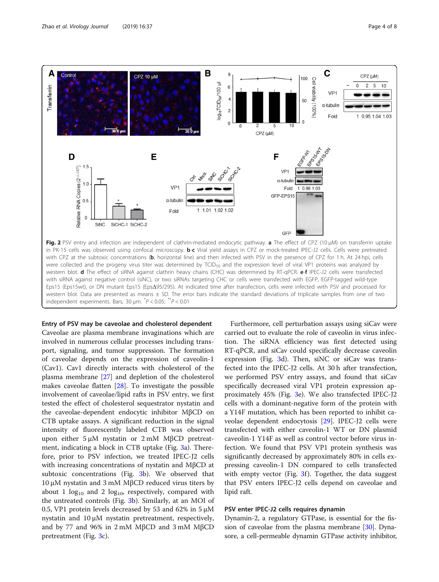<span id="page-3-0"></span>

with CPZ at the subtoxic concentrations (b, horizontal line) and then infected with PSV in the presence of CPZ for 1 h. At 24 hpi, cells were collected and the progeny virus titer was determined by TCID<sub>50</sub> and the expression level of viral VP1 proteins was analyzed by western blot. d The effect of siRNA against clathrin heavy chains (CHC) was determined by RT-qPCR. e-f IPEC-J2 cells were transfected with siRNA against negative control (siNC), or two siRNAs targeting CHC or cells were transfected with EGFP, EGFP-tagged wild-type Eps15 (Eps15wt), or DN mutant Eps15 (EpsΔ95/295). At indicated time after transfection, cells were infected with PSV and processed for western blot. Data are presented as means ± SD. The error bars indicate the standard deviations of triplicate samples from one of two independent experiments. Bars, 30  $\mu$ m.  $\sigma^*P < 0.05$ ;  $\sigma^*P < 0.01$ 

Entry of PSV may be caveolae and cholesterol dependent Caveolae are plasma membrane invaginations which are involved in numerous cellular processes including transport, signaling, and tumor suppression. The formation of caveolae depends on the expression of caveolin-1 (Cav1). Cav1 directly interacts with cholesterol of the plasma membrane [[27\]](#page-7-0) and depletion of the cholesterol makes caveolae flatten [\[28](#page-7-0)]. To investigate the possible involvement of caveolae/lipid rafts in PSV entry, we first tested the effect of cholesterol sequestrator nystatin and the caveolae-dependent endocytic inhibitor MβCD on CTB uptake assays. A significant reduction in the signal intensity of fluorescently labeled CTB was observed upon either 5 μM nystatin or 2 mM MβCD pretreatment, indicating a block in CTB uptake (Fig. [3a](#page-4-0)). Therefore, prior to PSV infection, we treated IPEC-J2 cells with increasing concentrations of nystatin and MβCD at subtoxic concentrations (Fig. [3b](#page-4-0)). We observed that 10 μM nystatin and 3 mM MβCD reduced virus titers by about 1  $log_{10}$  and 2  $log_{10}$ , respectively, compared with the untreated controls (Fig. [3b](#page-4-0)). Similarly, at an MOI of 0.5, VP1 protein levels decreased by 53 and 62% in 5  $\mu$ M nystatin and 10 μM nystatin pretreatment, respectively, and by 77 and 96% in 2 mM MβCD and 3 mM MβCD pretreatment (Fig. [3](#page-4-0)c).

Furthermore, cell perturbation assays using siCav were carried out to evaluate the role of caveolin in virus infection. The siRNA efficiency was first detected using RT-qPCR, and siCav could specifically decrease caveolin expression (Fig. [3](#page-4-0)d). Then, siNC or siCav was transfected into the IPEC-J2 cells. At 30 h after transfection, we performed PSV entry assays, and found that siCav specifically decreased viral VP1 protein expression approximately 45% (Fig. [3e](#page-4-0)). We also transfected IPEC-J2 cells with a dominant-negative form of the protein with a Y14F mutation, which has been reported to inhibit caveolae dependent endocytosis [[29](#page-7-0)]. IPEC-J2 cells were transfected with either caveolin-1 WT or DN plasmid caveolin-1 Y14F as well as control vector before virus infection. We found that PSV VP1 protein synthesis was significantly decreased by approximately 80% in cells expressing caveolin-1 DN compared to cells transfected with empty vector (Fig.  $3f$  $3f$ ). Together, the data suggest that PSV enters IPEC-J2 cells depend on caveolae and lipid raft.

#### PSV enter IPEC-J2 cells requires dynamin

Dynamin-2, a regulatory GTPase, is essential for the fission of caveolae from the plasma membrane [\[30](#page-7-0)]. Dynasore, a cell-permeable dynamin GTPase activity inhibitor,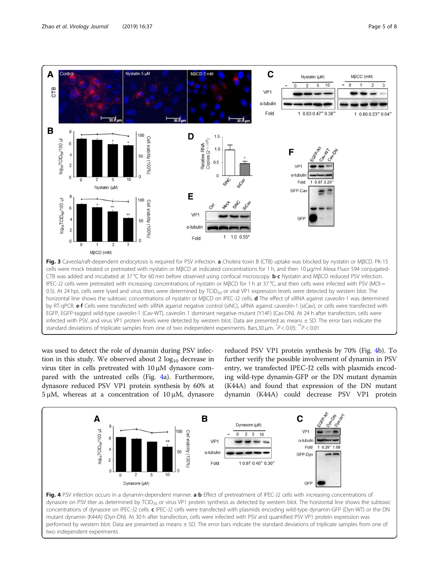<span id="page-4-0"></span>

was used to detect the role of dynamin during PSV infection in this study. We observed about 2  $log_{10}$  decrease in virus titer in cells pretreated with 10 μM dynasore compared with the untreated cells (Fig. 4a). Furthermore, dynasore reduced PSV VP1 protein synthesis by 60% at 5 μM, whereas at a concentration of 10 μM, dynasore

reduced PSV VP1 protein synthesis by 70% (Fig. 4b). To further verify the possible involvement of dynamin in PSV entry, we transfected IPEC-J2 cells with plasmids encoding wild-type dynamin-GFP or the DN mutant dynamin (K44A) and found that expression of the DN mutant dynamin (K44A) could decrease PSV VP1 protein



Fig. 4 PSV infection occurs in a dynamin-dependent manner. a-b Effect of pretreatment of IPEC-J2 cells with increasing concentrations of dynasore on PSV titer as determined by TCID<sub>50</sub> or virus VP1 protein synthesis as detected by western blot. The horizontal line shows the subtoxic concentrations of dynasore on IPEC-J2 cells. c IPEC-J2 cells were transfected with plasmids encoding wild-type dynamin-GFP (Dyn-WT) or the DN mutant dynamin (K44A) (Dyn-DN). At 30 h after transfection, cells were infected with PSV and quantified PSV VP1 protein expression was performed by western blot. Data are presented as means ± SD. The error bars indicate the standard deviations of triplicate samples from one of two independent experiments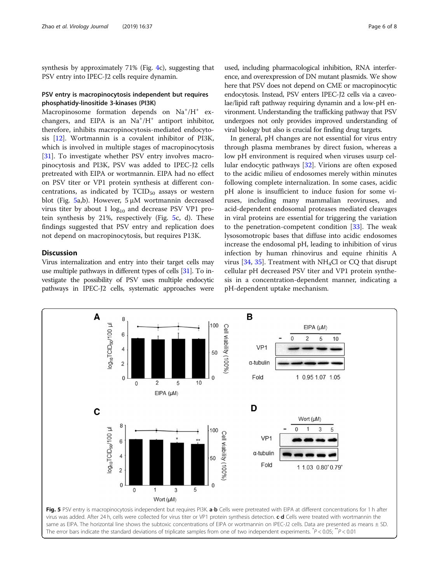synthesis by approximately 71% (Fig. [4](#page-4-0)c), suggesting that PSV entry into IPEC-J2 cells require dynamin.

## PSV entry is macropinocytosis independent but requires phosphatidy-linositide 3-kinases (PI3K)

Macropinosome formation depends on Na<sup>+</sup>/H<sup>+</sup> exchangers, and EIPA is an Na<sup>+</sup>/H<sup>+</sup> antiport inhibitor, therefore, inhibits macropinocytosis-mediated endocytosis [\[12\]](#page-7-0). Wortmannin is a covalent inhibitor of PI3K, which is involved in multiple stages of macropinocytosis [[31\]](#page-7-0). To investigate whether PSV entry involves macropinocytosis and PI3K, PSV was added to IPEC-J2 cells pretreated with EIPA or wortmannin. EIPA had no effect on PSV titer or VP1 protein synthesis at different concentrations, as indicated by  $TCID_{50}$  assays or western blot (Fig. 5a,b). However, 5 μM wortmannin decreased virus titer by about 1  $log_{10}$  and decrease PSV VP1 protein synthesis by 21%, respectively (Fig. 5c, d). These findings suggested that PSV entry and replication does not depend on macropinocytosis, but requires P13K.

# **Discussion**

Virus internalization and entry into their target cells may use multiple pathways in different types of cells [\[31\]](#page-7-0). To investigate the possibility of PSV uses multiple endocytic pathways in IPEC-J2 cells, systematic approaches were

used, including pharmacological inhibition, RNA interference, and overexpression of DN mutant plasmids. We show here that PSV does not depend on CME or macropinocytic endocytosis. Instead, PSV enters IPEC-J2 cells via a caveolae/lipid raft pathway requiring dynamin and a low-pH environment. Understanding the trafficking pathway that PSV undergoes not only provides improved understanding of viral biology but also is crucial for finding drug targets.

In general, pH changes are not essential for virus entry through plasma membranes by direct fusion, whereas a low pH environment is required when viruses usurp cellular endocytic pathways [\[32](#page-7-0)]. Virions are often exposed to the acidic milieu of endosomes merely within minutes following complete internalization. In some cases, acidic pH alone is insufficient to induce fusion for some viruses, including many mammalian reoviruses, and acid-dependent endosomal proteases mediated cleavages in viral proteins are essential for triggering the variation to the penetration-competent condition  $[33]$  $[33]$ . The weak lysosomotropic bases that diffuse into acidic endosomes increase the endosomal pH, leading to inhibition of virus infection by human rhinovirus and equine rhinitis A virus [[34](#page-7-0), [35](#page-7-0)]. Treatment with  $NH<sub>4</sub>Cl$  or CO that disrupt cellular pH decreased PSV titer and VP1 protein synthesis in a concentration-dependent manner, indicating a pH-dependent uptake mechanism.

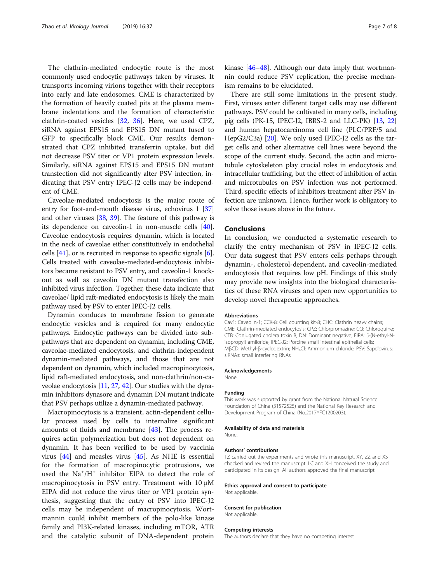The clathrin-mediated endocytic route is the most commonly used endocytic pathways taken by viruses. It transports incoming virions together with their receptors into early and late endosomes. CME is characterized by the formation of heavily coated pits at the plasma membrane indentations and the formation of characteristic clathrin-coated vesicles [\[32,](#page-7-0) [36](#page-7-0)]. Here, we used CPZ, siRNA against EPS15 and EPS15 DN mutant fused to GFP to specifically block CME. Our results demonstrated that CPZ inhibited transferrin uptake, but did not decrease PSV titer or VP1 protein expression levels. Similarly, siRNA against EPS15 and EPS15 DN mutant transfection did not significantly alter PSV infection, indicating that PSV entry IPEC-J2 cells may be independent of CME.

Caveolae-mediated endocytosis is the major route of entry for foot-and-mouth disease virus, echovirus 1 [[37](#page-7-0)] and other viruses [\[38,](#page-7-0) [39\]](#page-7-0). The feature of this pathway is its dependence on caveolin-1 in non-muscle cells [[40](#page-7-0)]. Caveolae endocytosis requires dynamin, which is located in the neck of caveolae either constitutively in endothelial cells [[41](#page-7-0)], or is recruited in response to specific signals [[6](#page-7-0)]. Cells treated with caveolae-mediated-endocytosis inhibitors became resistant to PSV entry, and caveolin-1 knockout as well as caveolin DN mutant transfection also inhibited virus infection. Together, these data indicate that caveolae/ lipid raft-mediated endocytosis is likely the main pathway used by PSV to enter IPEC-J2 cells.

Dynamin conduces to membrane fission to generate endocytic vesicles and is required for many endocytic pathways. Endocytic pathways can be divided into subpathways that are dependent on dynamin, including CME, caveolae-mediated endocytosis, and clathrin-independent dynamin-mediated pathways, and those that are not dependent on dynamin, which included macropinocytosis, lipid raft-mediated endocytosis, and non-clathrin/non-caveolae endocytosis [\[11](#page-7-0), [27](#page-7-0), [42\]](#page-7-0). Our studies with the dynamin inhibitors dynasore and dynamin DN mutant indicate that PSV perhaps utilize a dynamin-mediated pathway.

Macropinocytosis is a transient, actin-dependent cellular process used by cells to internalize significant amounts of fluids and membrane [[43\]](#page-7-0). The process requires actin polymerization but does not dependent on dynamin. It has been verified to be used by vaccinia virus [\[44](#page-7-0)] and measles virus [\[45\]](#page-7-0). As NHE is essential for the formation of macropinocytic protrusions, we used the Na<sup>+</sup>/H<sup>+</sup> inhibitor EIPA to detect the role of macropinocytosis in PSV entry. Treatment with 10 μM EIPA did not reduce the virus titer or VP1 protein synthesis, suggesting that the entry of PSV into IPEC-J2 cells may be independent of macropinocytosis. Wortmannin could inhibit members of the polo-like kinase family and PI3K-related kinases, including mTOR, ATR and the catalytic subunit of DNA-dependent protein kinase [\[46](#page-7-0)–[48\]](#page-7-0). Although our data imply that wortmannin could reduce PSV replication, the precise mechanism remains to be elucidated.

There are still some limitations in the present study. First, viruses enter different target cells may use different pathways. PSV could be cultivated in many cells, including pig cells (PK-15, IPEC-J2, IBRS-2 and LLC-PK) [[13](#page-7-0), [22](#page-7-0)] and human hepatocarcinoma cell line (PLC/PRF/5 and HepG2/C3a) [\[20\]](#page-7-0). We only used IPEC-J2 cells as the target cells and other alternative cell lines were beyond the scope of the current study. Second, the actin and microtubule cytoskeleton play crucial roles in endocytosis and intracellular trafficking, but the effect of inhibition of actin and microtubules on PSV infection was not performed. Third, specific effects of inhibitors treatment after PSV infection are unknown. Hence, further work is obligatory to solve those issues above in the future.

## Conclusions

In conclusion, we conducted a systematic research to clarify the entry mechanism of PSV in IPEC-J2 cells. Our data suggest that PSV enters cells perhaps through dynamin-, cholesterol-dependent, and caveolin-mediated endocytosis that requires low pH. Findings of this study may provide new insights into the biological characteristics of these RNA viruses and open new opportunities to develop novel therapeutic approaches.

#### Abbreviations

Cav1: Caveolin-1; CCK-8: Cell counting kit-8; CHC: Clathrin heavy chains; CME: Clathrin-mediated endocytosis; CPZ: Chlorpromazine; CQ: Chloroquine; CTB: Conjugated cholera toxin B; DN: Dominant negative; EIPA: 5-(N-ethyl-Nisopropyl) amiloride; IPEC-J2: Porcine small intestinal epithelial cells; MβCD: Methyl-β-cyclodextrin; NH4Cl: Ammonium chloride; PSV: Sapelovirus; siRNAs: small interfering RNAs

#### Acknowledgements

None.

#### Funding

This work was supported by grant from the National Natural Science Foundation of China (31572525) and the National Key Research and Development Program of China (No.2017YFC1200203).

#### Availability of data and materials

None.

# Authors' contributions

TZ carried out the experiments and wrote this manuscript. XY, ZZ and XS checked and revised the manuscript. LC and XH conceived the study and participated in its design. All authors approved the final manuscript.

#### Ethics approval and consent to participate

Not applicable.

#### Consent for publication

Not applicable.

#### Competing interests

The authors declare that they have no competing interest.